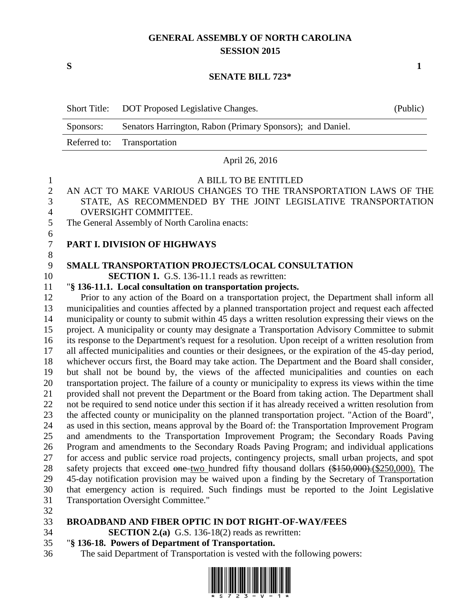## **GENERAL ASSEMBLY OF NORTH CAROLINA SESSION 2015**

**S 1**

#### **SENATE BILL 723\***

|                | <b>Short Title:</b>                                                                                                                                                                                      | DOT Proposed Legislative Changes.                                                                                                         | (Public) |  |  |  |
|----------------|----------------------------------------------------------------------------------------------------------------------------------------------------------------------------------------------------------|-------------------------------------------------------------------------------------------------------------------------------------------|----------|--|--|--|
|                | Sponsors:                                                                                                                                                                                                | Senators Harrington, Rabon (Primary Sponsors); and Daniel.                                                                                |          |  |  |  |
|                | Referred to:                                                                                                                                                                                             | Transportation                                                                                                                            |          |  |  |  |
|                |                                                                                                                                                                                                          | April 26, 2016                                                                                                                            |          |  |  |  |
| 1              |                                                                                                                                                                                                          | A BILL TO BE ENTITLED                                                                                                                     |          |  |  |  |
| $\overline{c}$ |                                                                                                                                                                                                          | AN ACT TO MAKE VARIOUS CHANGES TO THE TRANSPORTATION LAWS OF THE                                                                          |          |  |  |  |
| 3              |                                                                                                                                                                                                          | STATE, AS RECOMMENDED BY THE JOINT LEGISLATIVE TRANSPORTATION                                                                             |          |  |  |  |
| 4              | OVERSIGHT COMMITTEE.                                                                                                                                                                                     |                                                                                                                                           |          |  |  |  |
| 5              | The General Assembly of North Carolina enacts:                                                                                                                                                           |                                                                                                                                           |          |  |  |  |
| 6              |                                                                                                                                                                                                          |                                                                                                                                           |          |  |  |  |
| 7              |                                                                                                                                                                                                          | PART I. DIVISION OF HIGHWAYS                                                                                                              |          |  |  |  |
| $\,$ 8 $\,$    |                                                                                                                                                                                                          |                                                                                                                                           |          |  |  |  |
| 9              |                                                                                                                                                                                                          | <b>SMALL TRANSPORTATION PROJECTS/LOCAL CONSULTATION</b>                                                                                   |          |  |  |  |
| 10<br>11       | <b>SECTION 1.</b> G.S. 136-11.1 reads as rewritten:                                                                                                                                                      |                                                                                                                                           |          |  |  |  |
| 12             | "§ 136-11.1. Local consultation on transportation projects.                                                                                                                                              |                                                                                                                                           |          |  |  |  |
| 13             | Prior to any action of the Board on a transportation project, the Department shall inform all                                                                                                            |                                                                                                                                           |          |  |  |  |
| 14             | municipalities and counties affected by a planned transportation project and request each affected<br>municipality or county to submit within 45 days a written resolution expressing their views on the |                                                                                                                                           |          |  |  |  |
| 15             | project. A municipality or county may designate a Transportation Advisory Committee to submit                                                                                                            |                                                                                                                                           |          |  |  |  |
| 16             | its response to the Department's request for a resolution. Upon receipt of a written resolution from                                                                                                     |                                                                                                                                           |          |  |  |  |
| 17             | all affected municipalities and counties or their designees, or the expiration of the 45-day period,                                                                                                     |                                                                                                                                           |          |  |  |  |
| 18             |                                                                                                                                                                                                          | whichever occurs first, the Board may take action. The Department and the Board shall consider,                                           |          |  |  |  |
| 19             | but shall not be bound by, the views of the affected municipalities and counties on each                                                                                                                 |                                                                                                                                           |          |  |  |  |
| 20             |                                                                                                                                                                                                          | transportation project. The failure of a county or municipality to express its views within the time                                      |          |  |  |  |
| 21             |                                                                                                                                                                                                          | provided shall not prevent the Department or the Board from taking action. The Department shall                                           |          |  |  |  |
| 22             |                                                                                                                                                                                                          | not be required to send notice under this section if it has already received a written resolution from                                    |          |  |  |  |
| 23             |                                                                                                                                                                                                          | the affected county or municipality on the planned transportation project. "Action of the Board",                                         |          |  |  |  |
| 24             |                                                                                                                                                                                                          | as used in this section, means approval by the Board of: the Transportation Improvement Program                                           |          |  |  |  |
| 25             |                                                                                                                                                                                                          | and amendments to the Transportation Improvement Program; the Secondary Roads Paving                                                      |          |  |  |  |
| 26             |                                                                                                                                                                                                          | Program and amendments to the Secondary Roads Paving Program; and individual applications                                                 |          |  |  |  |
| 27             |                                                                                                                                                                                                          | for access and public service road projects, contingency projects, small urban projects, and spot                                         |          |  |  |  |
| 28             |                                                                                                                                                                                                          | safety projects that exceed one-two hundred fifty thousand dollars (\$150,000). (\$250,000). The                                          |          |  |  |  |
| 29             |                                                                                                                                                                                                          | 45-day notification provision may be waived upon a finding by the Secretary of Transportation                                             |          |  |  |  |
| 30<br>31       |                                                                                                                                                                                                          | that emergency action is required. Such findings must be reported to the Joint Legislative<br><b>Transportation Oversight Committee."</b> |          |  |  |  |
| 32             |                                                                                                                                                                                                          |                                                                                                                                           |          |  |  |  |
| 33             |                                                                                                                                                                                                          | <b>BROADBAND AND FIBER OPTIC IN DOT RIGHT-OF-WAY/FEES</b>                                                                                 |          |  |  |  |
|                |                                                                                                                                                                                                          |                                                                                                                                           |          |  |  |  |

**SECTION 2.(a)** G.S. 136-18(2) reads as rewritten:

#### "**§ 136-18. Powers of Department of Transportation.**

The said Department of Transportation is vested with the following powers:

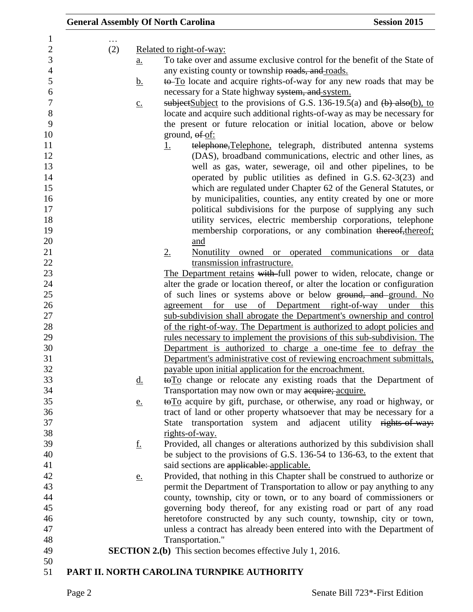| .                 |                                                                                       |                           |
|-------------------|---------------------------------------------------------------------------------------|---------------------------|
| (2)               | Related to right-of-way:                                                              |                           |
| <u>a.</u>         | To take over and assume exclusive control for the benefit of the State of             |                           |
|                   | any existing county or township roads, and roads.                                     |                           |
| <u>b.</u>         | to To locate and acquire rights-of-way for any new roads that may be                  |                           |
|                   | necessary for a State highway system, and system.                                     |                           |
| $\underline{c}$ . | subject Subject to the provisions of G.S. 136-19.5(a) and $(\frac{b}{c})$ also(b), to |                           |
|                   | locate and acquire such additional rights-of-way as may be necessary for              |                           |
|                   | the present or future relocation or initial location, above or below                  |                           |
|                   | ground, $ef-of$ :                                                                     |                           |
|                   | telephone, Telephone, telegraph, distributed antenna systems<br><u>1.</u>             |                           |
|                   | (DAS), broadband communications, electric and other lines, as                         |                           |
|                   | well as gas, water, sewerage, oil and other pipelines, to be                          |                           |
|                   | operated by public utilities as defined in $G.S. 62-3(23)$ and                        |                           |
|                   | which are regulated under Chapter 62 of the General Statutes, or                      |                           |
|                   | by municipalities, counties, any entity created by one or more                        |                           |
|                   | political subdivisions for the purpose of supplying any such                          |                           |
|                   | utility services, electric membership corporations, telephone                         |                           |
|                   | membership corporations, or any combination thereof, thereof;                         |                           |
|                   | and                                                                                   |                           |
|                   | 2.<br>Nonutility owned or operated                                                    | communications or<br>data |
|                   | transmission infrastructure.                                                          |                           |
|                   | The Department retains with full power to widen, relocate, change or                  |                           |
|                   | alter the grade or location thereof, or alter the location or configuration           |                           |
|                   | of such lines or systems above or below ground, and ground. No                        |                           |
|                   | of Department right-of-way under<br>agreement for use                                 | this                      |
|                   | sub-subdivision shall abrogate the Department's ownership and control                 |                           |
|                   | of the right-of-way. The Department is authorized to adopt policies and               |                           |
|                   | <u>rules</u> necessary to implement the provisions of this sub-subdivision. The       |                           |
|                   | Department is authorized to charge a one-time fee to defray the                       |                           |
|                   | Department's administrative cost of reviewing encroachment submittals,                |                           |
|                   | payable upon initial application for the encroachment.                                |                           |
|                   | to To change or relocate any existing roads that the Department of                    |                           |
| <u>d.</u>         | Transportation may now own or may acquire; acquire.                                   |                           |
|                   | toTo acquire by gift, purchase, or otherwise, any road or highway, or                 |                           |
| <u>e.</u>         | tract of land or other property whatsoever that may be necessary for a                |                           |
|                   | transportation system and adjacent utility rights-of-way:<br>State                    |                           |
|                   | rights-of-way.                                                                        |                           |
|                   |                                                                                       |                           |
| <u>f.</u>         | Provided, all changes or alterations authorized by this subdivision shall             |                           |
|                   | be subject to the provisions of G.S. 136-54 to 136-63, to the extent that             |                           |
|                   | said sections are applicable: applicable.                                             |                           |
| <u>e.</u>         | Provided, that nothing in this Chapter shall be construed to authorize or             |                           |
|                   | permit the Department of Transportation to allow or pay anything to any               |                           |
|                   | county, township, city or town, or to any board of commissioners or                   |                           |
|                   | governing body thereof, for any existing road or part of any road                     |                           |
|                   | heretofore constructed by any such county, township, city or town,                    |                           |
|                   | unless a contract has already been entered into with the Department of                |                           |
|                   | Transportation."                                                                      |                           |
|                   | <b>SECTION 2.(b)</b> This section becomes effective July 1, 2016.                     |                           |
|                   |                                                                                       |                           |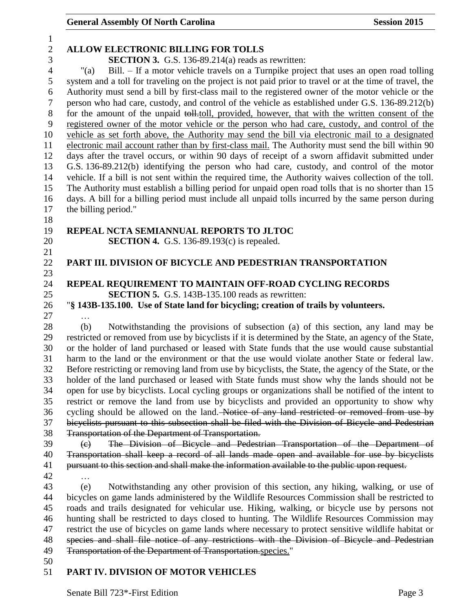#### General Assembly Of North Carolina **Session 2015**

# **ALLOW ELECTRONIC BILLING FOR TOLLS**

**SECTION 3.** G.S. 136-89.214(a) reads as rewritten:

 "(a) Bill. – If a motor vehicle travels on a Turnpike project that uses an open road tolling system and a toll for traveling on the project is not paid prior to travel or at the time of travel, the Authority must send a bill by first-class mail to the registered owner of the motor vehicle or the person who had care, custody, and control of the vehicle as established under G.S. 136-89.212(b) 8 for the amount of the unpaid toll.toll, provided, however, that with the written consent of the registered owner of the motor vehicle or the person who had care, custody, and control of the vehicle as set forth above, the Authority may send the bill via electronic mail to a designated electronic mail account rather than by first-class mail. The Authority must send the bill within 90 days after the travel occurs, or within 90 days of receipt of a sworn affidavit submitted under G.S. 136-89.212(b) identifying the person who had care, custody, and control of the motor vehicle. If a bill is not sent within the required time, the Authority waives collection of the toll. The Authority must establish a billing period for unpaid open road tolls that is no shorter than 15 days. A bill for a billing period must include all unpaid tolls incurred by the same person during the billing period."

### **REPEAL NCTA SEMIANNUAL REPORTS TO JLTOC**

**SECTION 4.** G.S. 136-89.193(c) is repealed.

#### **PART III. DIVISION OF BICYCLE AND PEDESTRIAN TRANSPORTATION**

### **REPEAL REQUIREMENT TO MAINTAIN OFF-ROAD CYCLING RECORDS SECTION 5.** G.S. 143B-135.100 reads as rewritten:

"**§ 143B-135.100. Use of State land for bicycling; creation of trails by volunteers.**

…

 (b) Notwithstanding the provisions of subsection (a) of this section, any land may be restricted or removed from use by bicyclists if it is determined by the State, an agency of the State, or the holder of land purchased or leased with State funds that the use would cause substantial harm to the land or the environment or that the use would violate another State or federal law. Before restricting or removing land from use by bicyclists, the State, the agency of the State, or the holder of the land purchased or leased with State funds must show why the lands should not be open for use by bicyclists. Local cycling groups or organizations shall be notified of the intent to restrict or remove the land from use by bicyclists and provided an opportunity to show why 36 cycling should be allowed on the land. Notice of any land restricted or removed from use by bicyclists pursuant to this subsection shall be filed with the Division of Bicycle and Pedestrian Transportation of the Department of Transportation.

39 (e) The Division of Bicycle and Pedestrian Transportation of the Department of Transportation shall keep a record of all lands made open and available for use by bicyclists pursuant to this section and shall make the information available to the public upon request.

…

 (e) Notwithstanding any other provision of this section, any hiking, walking, or use of bicycles on game lands administered by the Wildlife Resources Commission shall be restricted to roads and trails designated for vehicular use. Hiking, walking, or bicycle use by persons not hunting shall be restricted to days closed to hunting. The Wildlife Resources Commission may restrict the use of bicycles on game lands where necessary to protect sensitive wildlife habitat or species and shall file notice of any restrictions with the Division of Bicycle and Pedestrian 49 Transportation of the Department of Transportation.species."

# **PART IV. DIVISION OF MOTOR VEHICLES**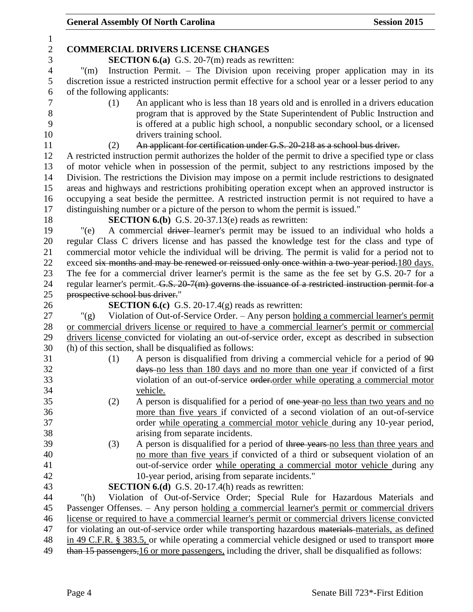# General Assembly Of North Carolina **Session 2015**

| $\mathbf{1}$   |                                                                                                                                                                                                        |  |  |  |
|----------------|--------------------------------------------------------------------------------------------------------------------------------------------------------------------------------------------------------|--|--|--|
| $\overline{2}$ | <b>COMMERCIAL DRIVERS LICENSE CHANGES</b>                                                                                                                                                              |  |  |  |
| 3              | <b>SECTION 6.(a)</b> G.S. 20-7(m) reads as rewritten:                                                                                                                                                  |  |  |  |
| $\overline{4}$ | Instruction Permit. – The Division upon receiving proper application may in its<br>$^{\prime\prime}(m)$                                                                                                |  |  |  |
| 5              | discretion issue a restricted instruction permit effective for a school year or a lesser period to any                                                                                                 |  |  |  |
| 6              | of the following applicants:                                                                                                                                                                           |  |  |  |
| 7              | An applicant who is less than 18 years old and is enrolled in a drivers education<br>(1)                                                                                                               |  |  |  |
| $8\,$          | program that is approved by the State Superintendent of Public Instruction and                                                                                                                         |  |  |  |
| 9              | is offered at a public high school, a nonpublic secondary school, or a licensed                                                                                                                        |  |  |  |
| 10             | drivers training school.                                                                                                                                                                               |  |  |  |
| 11             | An applicant for certification under G.S. 20-218 as a school bus driver.<br>(2)                                                                                                                        |  |  |  |
| 12             | A restricted instruction permit authorizes the holder of the permit to drive a specified type or class                                                                                                 |  |  |  |
| 13             | of motor vehicle when in possession of the permit, subject to any restrictions imposed by the                                                                                                          |  |  |  |
| 14             | Division. The restrictions the Division may impose on a permit include restrictions to designated                                                                                                      |  |  |  |
| 15             | areas and highways and restrictions prohibiting operation except when an approved instructor is                                                                                                        |  |  |  |
| 16             | occupying a seat beside the permittee. A restricted instruction permit is not required to have a                                                                                                       |  |  |  |
| 17<br>18       | distinguishing number or a picture of the person to whom the permit is issued."                                                                                                                        |  |  |  |
| 19             | <b>SECTION 6.(b)</b> G.S. 20-37.13(e) reads as rewritten:<br>A commercial driver-learner's permit may be issued to an individual who holds a<br>"(e)                                                   |  |  |  |
| 20             | regular Class C drivers license and has passed the knowledge test for the class and type of                                                                                                            |  |  |  |
| 21             | commercial motor vehicle the individual will be driving. The permit is valid for a period not to                                                                                                       |  |  |  |
| 22             | exceed six months and may be renewed or reissued only once within a two-year period.180 days.                                                                                                          |  |  |  |
| 23             | The fee for a commercial driver learner's permit is the same as the fee set by G.S. 20-7 for a                                                                                                         |  |  |  |
| 24             | regular learner's permit. G.S. 20-7(m) governs the issuance of a restricted instruction permit for a                                                                                                   |  |  |  |
| 25             | prospective school bus driver."                                                                                                                                                                        |  |  |  |
| 26             | <b>SECTION 6.(c)</b> G.S. 20-17.4(g) reads as rewritten:                                                                                                                                               |  |  |  |
|                |                                                                                                                                                                                                        |  |  |  |
|                |                                                                                                                                                                                                        |  |  |  |
| 27             | Violation of Out-of-Service Order. - Any person holding a commercial learner's permit<br>" $(g)$                                                                                                       |  |  |  |
| 28<br>29       | or commercial drivers license or required to have a commercial learner's permit or commercial                                                                                                          |  |  |  |
| 30             | drivers license convicted for violating an out-of-service order, except as described in subsection<br>(h) of this section, shall be disqualified as follows:                                           |  |  |  |
| 31             | A person is disqualified from driving a commercial vehicle for a period of 90<br>(1)                                                                                                                   |  |  |  |
| 32             | days no less than 180 days and no more than one year if convicted of a first                                                                                                                           |  |  |  |
| 33             | violation of an out-of-service order-order while operating a commercial motor                                                                                                                          |  |  |  |
| 34             | <u>vehicle.</u>                                                                                                                                                                                        |  |  |  |
| 35             | (2)<br>A person is disqualified for a period of one year no less than two years and no                                                                                                                 |  |  |  |
| 36             | more than five years if convicted of a second violation of an out-of-service                                                                                                                           |  |  |  |
| 37             | order while operating a commercial motor vehicle during any 10-year period,                                                                                                                            |  |  |  |
| 38             | arising from separate incidents.                                                                                                                                                                       |  |  |  |
| 39             | A person is disqualified for a period of three years no less than three years and<br>(3)                                                                                                               |  |  |  |
| 40             | no more than five years if convicted of a third or subsequent violation of an                                                                                                                          |  |  |  |
| 41             | out-of-service order while operating a commercial motor vehicle during any                                                                                                                             |  |  |  |
| 42             | 10-year period, arising from separate incidents."                                                                                                                                                      |  |  |  |
| 43             | <b>SECTION 6.(d)</b> G.S. 20-17.4(h) reads as rewritten:                                                                                                                                               |  |  |  |
| 44             | Violation of Out-of-Service Order; Special Rule for Hazardous Materials and<br>" $(h)$                                                                                                                 |  |  |  |
| 45             | Passenger Offenses. - Any person holding a commercial learner's permit or commercial drivers                                                                                                           |  |  |  |
| 46             | license or required to have a commercial learner's permit or commercial drivers license convicted                                                                                                      |  |  |  |
| 47             | for violating an out-of-service order while transporting hazardous materials materials, as defined                                                                                                     |  |  |  |
| 48<br>49       | in 49 C.F.R. § 383.5, or while operating a commercial vehicle designed or used to transport more<br>than 15 passengers, 16 or more passengers, including the driver, shall be disqualified as follows: |  |  |  |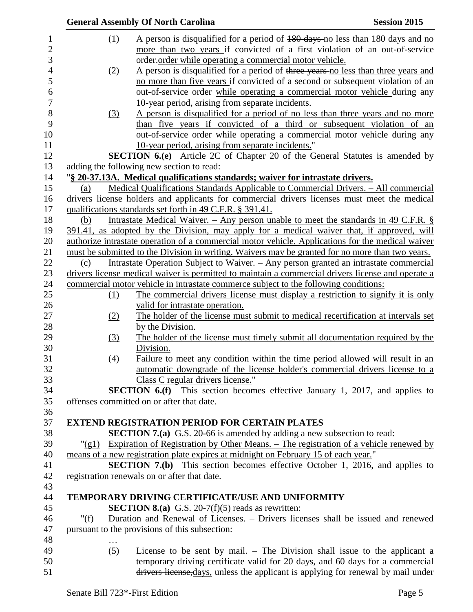|                | <b>General Assembly Of North Carolina</b> |                  |                                                                                                    | <b>Session 2015</b> |
|----------------|-------------------------------------------|------------------|----------------------------------------------------------------------------------------------------|---------------------|
| $\mathbf{1}$   |                                           | (1)              | A person is disqualified for a period of 180 days no less than 180 days and no                     |                     |
| $\overline{2}$ |                                           |                  | more than two years if convicted of a first violation of an out-of-service                         |                     |
| 3              |                                           |                  | order order while operating a commercial motor vehicle.                                            |                     |
| $\overline{4}$ |                                           | (2)              | A person is disqualified for a period of three years no less than three years and                  |                     |
| 5              |                                           |                  | no more than five years if convicted of a second or subsequent violation of an                     |                     |
| 6              |                                           |                  | out-of-service order while operating a commercial motor vehicle during any                         |                     |
| 7              |                                           |                  | 10-year period, arising from separate incidents.                                                   |                     |
| 8              |                                           | $\left(3\right)$ | A person is disqualified for a period of no less than three years and no more                      |                     |
| 9              |                                           |                  | than five years if convicted of a third or subsequent violation of an                              |                     |
| 10             |                                           |                  | out-of-service order while operating a commercial motor vehicle during any                         |                     |
| 11             |                                           |                  | 10-year period, arising from separate incidents."                                                  |                     |
| 12             |                                           |                  | <b>SECTION 6.(e)</b> Article 2C of Chapter 20 of the General Statutes is amended by                |                     |
| 13             |                                           |                  | adding the following new section to read:                                                          |                     |
| 14             |                                           |                  | "§ 20-37.13A. Medical qualifications standards; waiver for intrastate drivers.                     |                     |
| 15             | (a)                                       |                  | Medical Qualifications Standards Applicable to Commercial Drivers. - All commercial                |                     |
| 16             |                                           |                  | drivers license holders and applicants for commercial drivers licenses must meet the medical       |                     |
| 17             |                                           |                  | qualifications standards set forth in 49 C.F.R. § 391.41.                                          |                     |
| 18             | (b)                                       |                  | Intrastate Medical Waiver. – Any person unable to meet the standards in 49 C.F.R. $\S$             |                     |
| 19             |                                           |                  | 391.41, as adopted by the Division, may apply for a medical waiver that, if approved, will         |                     |
| 20             |                                           |                  | authorize intrastate operation of a commercial motor vehicle. Applications for the medical waiver  |                     |
| 21             |                                           |                  | must be submitted to the Division in writing. Waivers may be granted for no more than two years.   |                     |
| 22             | (c)                                       |                  | <u>Intrastate Operation Subject to Waiver. – Any person granted an intrastate commercial</u>       |                     |
| 23             |                                           |                  | drivers license medical waiver is permitted to maintain a commercial drivers license and operate a |                     |
| 24             |                                           |                  | commercial motor vehicle in intrastate commerce subject to the following conditions:               |                     |
| 25             |                                           | (1)              | The commercial drivers license must display a restriction to signify it is only                    |                     |
| 26             |                                           |                  | valid for intrastate operation.                                                                    |                     |
| 27             |                                           | (2)              | The holder of the license must submit to medical recertification at intervals set                  |                     |
| 28             |                                           |                  | by the Division.                                                                                   |                     |
| 29             |                                           | (3)              | The holder of the license must timely submit all documentation required by the                     |                     |
| 30             |                                           |                  | Division.                                                                                          |                     |
| 31             |                                           | (4)              | Failure to meet any condition within the time period allowed will result in an                     |                     |
| 32             |                                           |                  | automatic downgrade of the license holder's commercial drivers license to a                        |                     |
| 33             |                                           |                  | Class C regular drivers license."                                                                  |                     |
| 34             |                                           |                  | <b>SECTION 6.(f)</b> This section becomes effective January 1, 2017, and applies to                |                     |
| 35             |                                           |                  | offenses committed on or after that date.                                                          |                     |
| 36             |                                           |                  |                                                                                                    |                     |
| 37             |                                           |                  | <b>EXTEND REGISTRATION PERIOD FOR CERTAIN PLATES</b>                                               |                     |
| 38             |                                           |                  | <b>SECTION 7.(a)</b> G.S. 20-66 is amended by adding a new subsection to read:                     |                     |
| 39             |                                           |                  | "(g1) Expiration of Registration by Other Means. – The registration of a vehicle renewed by        |                     |
| 40             |                                           |                  | means of a new registration plate expires at midnight on February 15 of each year."                |                     |
| 41             |                                           |                  | <b>SECTION 7.(b)</b> This section becomes effective October 1, 2016, and applies to                |                     |
| 42             |                                           |                  | registration renewals on or after that date.                                                       |                     |
| 43             |                                           |                  |                                                                                                    |                     |
| 44             |                                           |                  | TEMPORARY DRIVING CERTIFICATE/USE AND UNIFORMITY                                                   |                     |
| 45             |                                           |                  | <b>SECTION 8.(a)</b> G.S. 20-7(f)(5) reads as rewritten:                                           |                     |
| 46             | " $(f)$                                   |                  | Duration and Renewal of Licenses. – Drivers licenses shall be issued and renewed                   |                     |
|                |                                           |                  |                                                                                                    |                     |
| 47             |                                           |                  | pursuant to the provisions of this subsection:                                                     |                     |
| 48             |                                           |                  |                                                                                                    |                     |
| 49             |                                           | (5)              | License to be sent by mail. $-$ The Division shall issue to the applicant a                        |                     |
| 50             |                                           |                  | temporary driving certificate valid for 20 days, and 60 days for a commercial                      |                     |
| 51             |                                           |                  | drivers license, days, unless the applicant is applying for renewal by mail under                  |                     |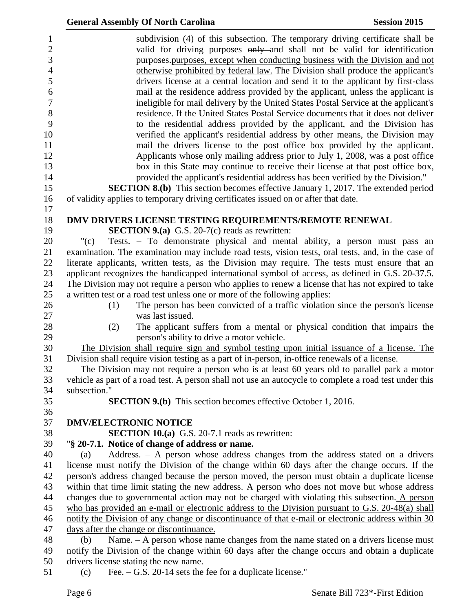| <b>General Assembly Of North Carolina</b>                                                                                                                                                                                                                                                                                                                                                                                                                                                               | <b>Session 2015</b> |
|---------------------------------------------------------------------------------------------------------------------------------------------------------------------------------------------------------------------------------------------------------------------------------------------------------------------------------------------------------------------------------------------------------------------------------------------------------------------------------------------------------|---------------------|
| subdivision (4) of this subsection. The temporary driving certificate shall be<br>valid for driving purposes only and shall not be valid for identification<br>purposes-purposes, except when conducting business with the Division and not<br>otherwise prohibited by federal law. The Division shall produce the applicant's<br>drivers license at a central location and send it to the applicant by first-class<br>mail at the residence address provided by the applicant, unless the applicant is |                     |
| ineligible for mail delivery by the United States Postal Service at the applicant's<br>residence. If the United States Postal Service documents that it does not deliver<br>to the residential address provided by the applicant, and the Division has<br>verified the applicant's residential address by other means, the Division may                                                                                                                                                                 |                     |
| mail the drivers license to the post office box provided by the applicant.<br>Applicants whose only mailing address prior to July 1, 2008, was a post office<br>box in this State may continue to receive their license at that post office box,<br>provided the applicant's residential address has been verified by the Division."                                                                                                                                                                    |                     |
| <b>SECTION 8.(b)</b> This section becomes effective January 1, 2017. The extended period                                                                                                                                                                                                                                                                                                                                                                                                                |                     |
| of validity applies to temporary driving certificates issued on or after that date.                                                                                                                                                                                                                                                                                                                                                                                                                     |                     |
| DMV DRIVERS LICENSE TESTING REQUIREMENTS/REMOTE RENEWAL                                                                                                                                                                                                                                                                                                                                                                                                                                                 |                     |
| <b>SECTION 9.(a)</b> G.S. 20-7(c) reads as rewritten:                                                                                                                                                                                                                                                                                                                                                                                                                                                   |                     |
| Tests. - To demonstrate physical and mental ability, a person must pass an<br>"(c)                                                                                                                                                                                                                                                                                                                                                                                                                      |                     |
| examination. The examination may include road tests, vision tests, oral tests, and, in the case of                                                                                                                                                                                                                                                                                                                                                                                                      |                     |
| literate applicants, written tests, as the Division may require. The tests must ensure that an                                                                                                                                                                                                                                                                                                                                                                                                          |                     |
| applicant recognizes the handicapped international symbol of access, as defined in G.S. 20-37.5.                                                                                                                                                                                                                                                                                                                                                                                                        |                     |
| The Division may not require a person who applies to renew a license that has not expired to take                                                                                                                                                                                                                                                                                                                                                                                                       |                     |
| a written test or a road test unless one or more of the following applies:                                                                                                                                                                                                                                                                                                                                                                                                                              |                     |
| The person has been convicted of a traffic violation since the person's license<br>(1)<br>was last issued.                                                                                                                                                                                                                                                                                                                                                                                              |                     |
| (2)<br>The applicant suffers from a mental or physical condition that impairs the                                                                                                                                                                                                                                                                                                                                                                                                                       |                     |
| person's ability to drive a motor vehicle.                                                                                                                                                                                                                                                                                                                                                                                                                                                              |                     |
| The Division shall require sign and symbol testing upon initial issuance of a license. The                                                                                                                                                                                                                                                                                                                                                                                                              |                     |
| Division shall require vision testing as a part of in-person, in-office renewals of a license.                                                                                                                                                                                                                                                                                                                                                                                                          |                     |
| The Division may not require a person who is at least 60 years old to parallel park a motor                                                                                                                                                                                                                                                                                                                                                                                                             |                     |
| vehicle as part of a road test. A person shall not use an autocycle to complete a road test under this                                                                                                                                                                                                                                                                                                                                                                                                  |                     |
| subsection."                                                                                                                                                                                                                                                                                                                                                                                                                                                                                            |                     |
| <b>SECTION 9.(b)</b> This section becomes effective October 1, 2016.                                                                                                                                                                                                                                                                                                                                                                                                                                    |                     |
|                                                                                                                                                                                                                                                                                                                                                                                                                                                                                                         |                     |
| <b>DMV/ELECTRONIC NOTICE</b>                                                                                                                                                                                                                                                                                                                                                                                                                                                                            |                     |
| <b>SECTION 10.(a)</b> G.S. 20-7.1 reads as rewritten:                                                                                                                                                                                                                                                                                                                                                                                                                                                   |                     |
| "§ 20-7.1. Notice of change of address or name.                                                                                                                                                                                                                                                                                                                                                                                                                                                         |                     |
| Address. $-$ A person whose address changes from the address stated on a drivers<br>(a)                                                                                                                                                                                                                                                                                                                                                                                                                 |                     |
| license must notify the Division of the change within 60 days after the change occurs. If the                                                                                                                                                                                                                                                                                                                                                                                                           |                     |
| person's address changed because the person moved, the person must obtain a duplicate license                                                                                                                                                                                                                                                                                                                                                                                                           |                     |
| within that time limit stating the new address. A person who does not move but whose address                                                                                                                                                                                                                                                                                                                                                                                                            |                     |
| changes due to governmental action may not be charged with violating this subsection. A person<br>who has provided an e-mail or electronic address to the Division pursuant to G.S. 20-48(a) shall                                                                                                                                                                                                                                                                                                      |                     |
| notify the Division of any change or discontinuance of that e-mail or electronic address within 30                                                                                                                                                                                                                                                                                                                                                                                                      |                     |
| days after the change or discontinuance.                                                                                                                                                                                                                                                                                                                                                                                                                                                                |                     |
| Name. $-A$ person whose name changes from the name stated on a drivers license must<br>(b)                                                                                                                                                                                                                                                                                                                                                                                                              |                     |
| notify the Division of the change within 60 days after the change occurs and obtain a duplicate                                                                                                                                                                                                                                                                                                                                                                                                         |                     |
| drivers license stating the new name.                                                                                                                                                                                                                                                                                                                                                                                                                                                                   |                     |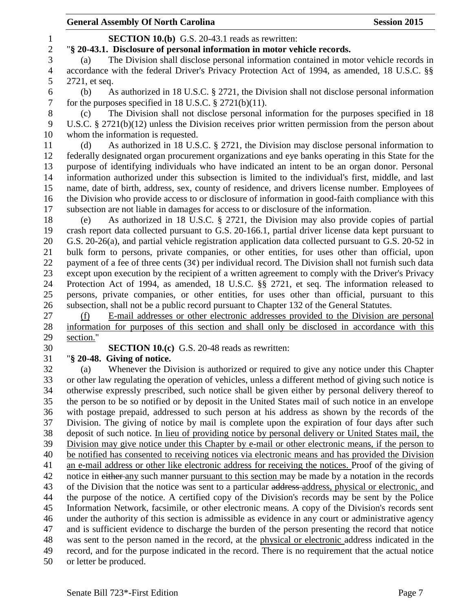**SECTION 10.(b)** G.S. 20-43.1 reads as rewritten:

"**§ 20-43.1. Disclosure of personal information in motor vehicle records.**

 (a) The Division shall disclose personal information contained in motor vehicle records in accordance with the federal Driver's Privacy Protection Act of 1994, as amended, 18 U.S.C. §§ 2721, et seq. (b) As authorized in 18 U.S.C. § 2721, the Division shall not disclose personal information for the purposes specified in 18 U.S.C. § 2721(b)(11). (c) The Division shall not disclose personal information for the purposes specified in 18 U.S.C. § 2721(b)(12) unless the Division receives prior written permission from the person about whom the information is requested. (d) As authorized in 18 U.S.C. § 2721, the Division may disclose personal information to federally designated organ procurement organizations and eye banks operating in this State for the purpose of identifying individuals who have indicated an intent to be an organ donor. Personal information authorized under this subsection is limited to the individual's first, middle, and last name, date of birth, address, sex, county of residence, and drivers license number. Employees of the Division who provide access to or disclosure of information in good-faith compliance with this subsection are not liable in damages for access to or disclosure of the information. (e) As authorized in 18 U.S.C. § 2721, the Division may also provide copies of partial crash report data collected pursuant to G.S. 20-166.1, partial driver license data kept pursuant to G.S. 20-26(a), and partial vehicle registration application data collected pursuant to G.S. 20-52 in bulk form to persons, private companies, or other entities, for uses other than official, upon 22 payment of a fee of three cents  $(3\phi)$  per individual record. The Division shall not furnish such data except upon execution by the recipient of a written agreement to comply with the Driver's Privacy Protection Act of 1994, as amended, 18 U.S.C. §§ 2721, et seq. The information released to persons, private companies, or other entities, for uses other than official, pursuant to this subsection, shall not be a public record pursuant to Chapter 132 of the General Statutes. (f) E-mail addresses or other electronic addresses provided to the Division are personal information for purposes of this section and shall only be disclosed in accordance with this section." **SECTION 10.(c)** G.S. 20-48 reads as rewritten: "**§ 20-48. Giving of notice.** (a) Whenever the Division is authorized or required to give any notice under this Chapter or other law regulating the operation of vehicles, unless a different method of giving such notice is otherwise expressly prescribed, such notice shall be given either by personal delivery thereof to the person to be so notified or by deposit in the United States mail of such notice in an envelope with postage prepaid, addressed to such person at his address as shown by the records of the Division. The giving of notice by mail is complete upon the expiration of four days after such deposit of such notice. In lieu of providing notice by personal delivery or United States mail, the Division may give notice under this Chapter by e-mail or other electronic means, if the person to be notified has consented to receiving notices via electronic means and has provided the Division an e-mail address or other like electronic address for receiving the notices. Proof of the giving of 42 notice in either any such manner pursuant to this section may be made by a notation in the records 43 of the Division that the notice was sent to a particular address-address, physical or electronic, and the purpose of the notice. A certified copy of the Division's records may be sent by the Police Information Network, facsimile, or other electronic means. A copy of the Division's records sent under the authority of this section is admissible as evidence in any court or administrative agency and is sufficient evidence to discharge the burden of the person presenting the record that notice was sent to the person named in the record, at the physical or electronic address indicated in the record, and for the purpose indicated in the record. There is no requirement that the actual notice or letter be produced.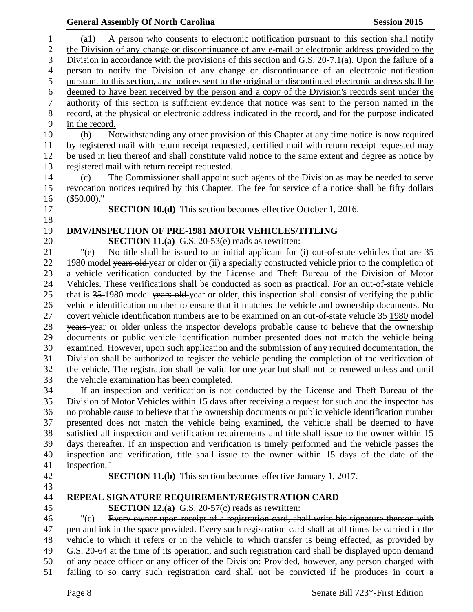|                  | <b>General Assembly Of North Carolina</b>                                                                                                                                                           | <b>Session 2015</b>            |
|------------------|-----------------------------------------------------------------------------------------------------------------------------------------------------------------------------------------------------|--------------------------------|
| $\mathbf{1}$     | A person who consents to electronic notification pursuant to this section shall notify<br>$\left( a1\right)$                                                                                        |                                |
| $\overline{c}$   | the Division of any change or discontinuance of any e-mail or electronic address provided to the                                                                                                    |                                |
| 3                | Division in accordance with the provisions of this section and G.S. 20-7.1(a). Upon the failure of a                                                                                                |                                |
| $\overline{4}$   | person to notify the Division of any change or discontinuance of an electronic notification                                                                                                         |                                |
| 5                | pursuant to this section, any notices sent to the original or discontinued electronic address shall be                                                                                              |                                |
| 6                | deemed to have been received by the person and a copy of the Division's records sent under the                                                                                                      |                                |
| $\boldsymbol{7}$ | authority of this section is sufficient evidence that notice was sent to the person named in the                                                                                                    |                                |
| $8\,$            | record, at the physical or electronic address indicated in the record, and for the purpose indicated                                                                                                |                                |
| $\mathbf{9}$     | in the record.                                                                                                                                                                                      |                                |
| 10               | Notwithstanding any other provision of this Chapter at any time notice is now required<br>(b)                                                                                                       |                                |
| 11               | by registered mail with return receipt requested, certified mail with return receipt requested may                                                                                                  |                                |
| 12               | be used in lieu thereof and shall constitute valid notice to the same extent and degree as notice by                                                                                                |                                |
| 13               | registered mail with return receipt requested.                                                                                                                                                      |                                |
| 14               | The Commissioner shall appoint such agents of the Division as may be needed to serve<br>(c)                                                                                                         |                                |
| 15               | revocation notices required by this Chapter. The fee for service of a notice shall be fifty dollars                                                                                                 |                                |
| 16               | $($50.00).$ "                                                                                                                                                                                       |                                |
| 17               | <b>SECTION 10.(d)</b> This section becomes effective October 1, 2016.                                                                                                                               |                                |
| 18               |                                                                                                                                                                                                     |                                |
| 19               | <b>DMV/INSPECTION OF PRE-1981 MOTOR VEHICLES/TITLING</b>                                                                                                                                            |                                |
| 20               | <b>SECTION 11.(a)</b> G.S. 20-53(e) reads as rewritten:                                                                                                                                             |                                |
| 21               | No title shall be issued to an initial applicant for (i) out-of-state vehicles that are 35<br>" $(e)$                                                                                               |                                |
| 22               | 1980 model years old year or older or (ii) a specially constructed vehicle prior to the completion of                                                                                               |                                |
| 23               | a vehicle verification conducted by the License and Theft Bureau of the Division of Motor                                                                                                           |                                |
| 24               | Vehicles. These verifications shall be conducted as soon as practical. For an out-of-state vehicle                                                                                                  |                                |
| 25               | that is 35–1980 model years old-year or older, this inspection shall consist of verifying the public                                                                                                |                                |
| 26<br>27         | vehicle identification number to ensure that it matches the vehicle and ownership documents. No                                                                                                     |                                |
| $28\,$           | covert vehicle identification numbers are to be examined on an out-of-state vehicle 35-1980 model<br>years year or older unless the inspector develops probable cause to believe that the ownership |                                |
| 29               | documents or public vehicle identification number presented does not match the vehicle being                                                                                                        |                                |
| 30               | examined. However, upon such application and the submission of any required documentation, the                                                                                                      |                                |
| 31               | Division shall be authorized to register the vehicle pending the completion of the verification of                                                                                                  |                                |
| 32               | the vehicle. The registration shall be valid for one year but shall not be renewed unless and until                                                                                                 |                                |
| 33               | the vehicle examination has been completed.                                                                                                                                                         |                                |
| 34               | If an inspection and verification is not conducted by the License and Theft Bureau of the                                                                                                           |                                |
| 35               | Division of Motor Vehicles within 15 days after receiving a request for such and the inspector has                                                                                                  |                                |
| 36               | no probable cause to believe that the ownership documents or public vehicle identification number                                                                                                   |                                |
| 37               | presented does not match the vehicle being examined, the vehicle shall be deemed to have                                                                                                            |                                |
| 38               | satisfied all inspection and verification requirements and title shall issue to the owner within 15                                                                                                 |                                |
| 39               | days thereafter. If an inspection and verification is timely performed and the vehicle passes the                                                                                                   |                                |
| 40               | inspection and verification, title shall issue to the owner within 15 days of the date of the                                                                                                       |                                |
| 41               | inspection."                                                                                                                                                                                        |                                |
| 42               | <b>SECTION 11.(b)</b> This section becomes effective January 1, 2017.                                                                                                                               |                                |
| 43               |                                                                                                                                                                                                     |                                |
| 44               | REPEAL SIGNATURE REQUIREMENT/REGISTRATION CARD                                                                                                                                                      |                                |
| 45               | <b>SECTION 12.(a)</b> G.S. 20-57(c) reads as rewritten:                                                                                                                                             |                                |
| 46               | Every owner upon receipt of a registration card, shall write his signature thereon with<br>" $(c)$                                                                                                  |                                |
| 47               | pen and ink in the space provided. Every such registration card shall at all times be carried in the                                                                                                |                                |
| 48               | vehicle to which it refers or in the vehicle to which transfer is being effected, as provided by                                                                                                    |                                |
| 49               | G.S. 20-64 at the time of its operation, and such registration card shall be displayed upon demand                                                                                                  |                                |
| 50               | of any peace officer or any officer of the Division: Provided, however, any person charged with                                                                                                     |                                |
| 51               | failing to so carry such registration card shall not be convicted if he produces in court a                                                                                                         |                                |
|                  | Page 8                                                                                                                                                                                              | Senate Bill 723*-First Edition |